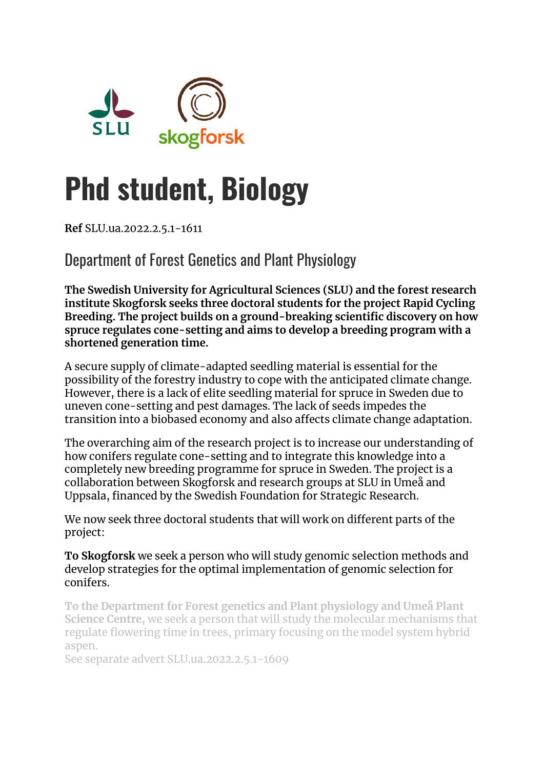

# **Phd student, Biology**

**Ref** SLU.ua.2022.2.5.1-1611

Department of Forest Genetics and Plant Physiology

**The Swedish University for Agricultural Sciences (SLU) and the forest research institute Skogforsk seeks three doctoral students for the project Rapid Cycling Breeding. The project builds on a ground-breaking scientific discovery on how spruce regulates cone-setting and aims to develop a breeding program with a shortened generation time.**

A secure supply of climate-adapted seedling material is essential for the possibility of the forestry industry to cope with the anticipated climate change. However, there is a lack of elite seedling material for spruce in Sweden due to uneven cone-setting and pest damages. The lack of seeds impedes the transition into a biobased economy and also affects climate change adaptation.

The overarching aim of the research project is to increase our understanding of how conifers regulate cone-setting and to integrate this knowledge into a completely new breeding programme for spruce in Sweden. The project is a collaboration between Skogforsk and research groups at SLU in Umeå and Uppsala, financed by the Swedish Foundation for Strategic Research.

We now seek three doctoral students that will work on different parts of the project:

**To Skogforsk** we seek a person who will study genomic selection methods and develop strategies for the optimal implementation of genomic selection for conifers.

**To the Department for Forest genetics and Plant physiology and Umeå Plant Science Centre,** we seek a person that will study the molecular mechanisms that regulate flowering time in trees, primary focusing on the model system hybrid aspen.

See separate advert SLU.ua.2022.2.5.1-1609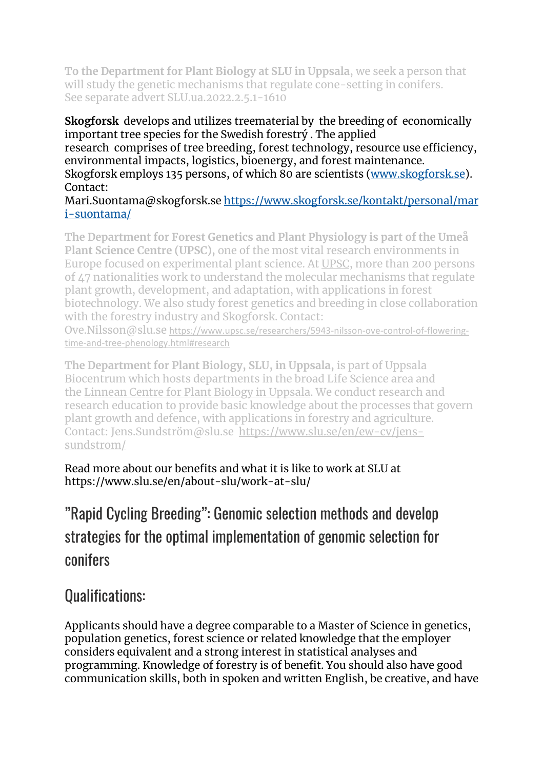**To the Department for Plant Biology at SLU in Uppsala**, we seek a person that will study the genetic mechanisms that regulate cone-setting in conifers. See separate advert SLU.ua.2022.2.5.1-1610

**Skogforsk** develops and utilizes treematerial by the breeding of economically important tree species for the Swedish forestrý . The applied research comprises of tree breeding, forest technology, resource use efficiency, environmental impacts, logistics, bioenergy, and forest maintenance. Skogforsk employs 135 persons, of which 80 are scientists [\(www.skogforsk.se\)](http://www.skogforsk.se/). Contact:

Mari.Suontama@skogforsk.se [https://www.skogforsk.se/kontakt/personal/mar](https://www.skogforsk.se/kontakt/personal/mari-suontama/) [i-suontama/](https://www.skogforsk.se/kontakt/personal/mari-suontama/)

**The Department for Forest Genetics and Plant Physiology is part of the Umeå Plant Science Centre (UPSC),** one of the most vital research environments in Europe focused on experimental plant science. At [UPSC,](https://www.upsc.se/) more than 200 persons of 47 nationalities work to understand the molecular mechanisms that regulate plant growth, development, and adaptation, with applications in forest biotechnology. We also study forest genetics and breeding in close collaboration with the forestry industry and Skogforsk. Contact:

Ove.Nilsson@slu.se [https://www.upsc.se/researchers/5943-nilsson-ove-control-of-flowering](https://www.upsc.se/researchers/5943-nilsson-ove-control-of-flowering-time-and-tree-phenology.html#research)[time-and-tree-phenology.html#research](https://www.upsc.se/researchers/5943-nilsson-ove-control-of-flowering-time-and-tree-phenology.html#research)

**The Department for Plant Biology, SLU, in Uppsala,** is part of Uppsala Biocentrum which hosts departments in the broad Life Science area and the [Linnean Centre for Plant Biology in Uppsala.](https://lcpu.se/) We conduct research and research education to provide basic knowledge about the processes that govern plant growth and defence, with applications in forestry and agriculture. Contact: Jens.Sundström@slu.se [https://www.slu.se/en/ew-cv/jens](https://www.slu.se/en/ew-cv/jens-sundstrom/)[sundstrom/](https://www.slu.se/en/ew-cv/jens-sundstrom/)

Read more about our benefits and what it is like to work at SLU at https://www.slu.se/en/about-slu/work-at-slu/

## "Rapid Cycling Breeding": Genomic selection methods and develop strategies for the optimal implementation of genomic selection for conifers

#### Qualifications:

Applicants should have a degree comparable to a Master of Science in genetics, population genetics, forest science or related knowledge that the employer considers equivalent and a strong interest in statistical analyses and programming. Knowledge of forestry is of benefit. You should also have good communication skills, both in spoken and written English, be creative, and have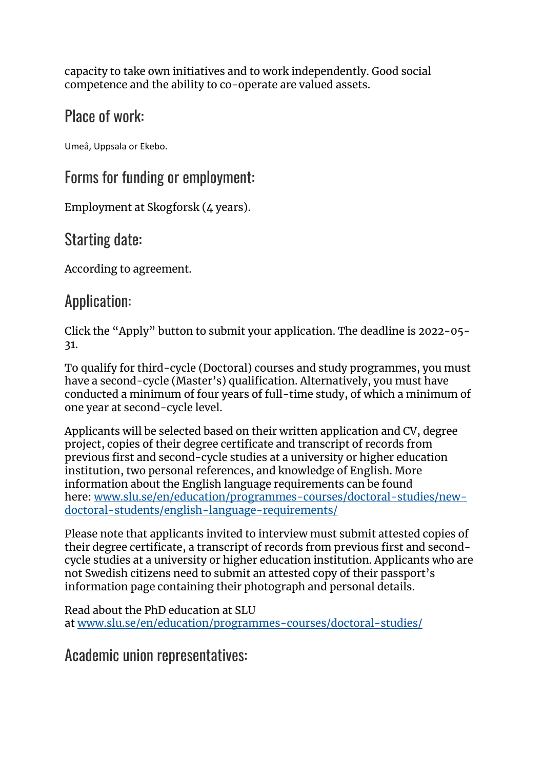capacity to take own initiatives and to work independently. Good social competence and the ability to co-operate are valued assets.

### Place of work:

Umeå, Uppsala or Ekebo.

#### Forms for funding or employment:

Employment at Skogforsk (4 years).

### Starting date:

According to agreement.

#### Application:

Click the "Apply" button to submit your application. The deadline is 2022-05- 31.

To qualify for third-cycle (Doctoral) courses and study programmes, you must have a second-cycle (Master's) qualification. Alternatively, you must have conducted a minimum of four years of full-time study, of which a minimum of one year at second-cycle level.

Applicants will be selected based on their written application and CV, degree project, copies of their degree certificate and transcript of records from previous first and second-cycle studies at a university or higher education institution, two personal references, and knowledge of English. More information about the English language requirements can be found here: [www.slu.se/en/education/programmes-courses/doctoral-studies/new](http://www.slu.se/en/education/programmes-courses/doctoral-studies/new-doctoral-students/english-language-requirements/)[doctoral-students/english-language-requirements/](http://www.slu.se/en/education/programmes-courses/doctoral-studies/new-doctoral-students/english-language-requirements/)

Please note that applicants invited to interview must submit attested copies of their degree certificate, a transcript of records from previous first and secondcycle studies at a university or higher education institution. Applicants who are not Swedish citizens need to submit an attested copy of their passport's information page containing their photograph and personal details.

Read about the PhD education at SLU at [www.slu.se/en/education/programmes-courses/doctoral-studies/](https://www.slu.se/en/education/programmes-courses/doctoral-studies/)

Academic union representatives: